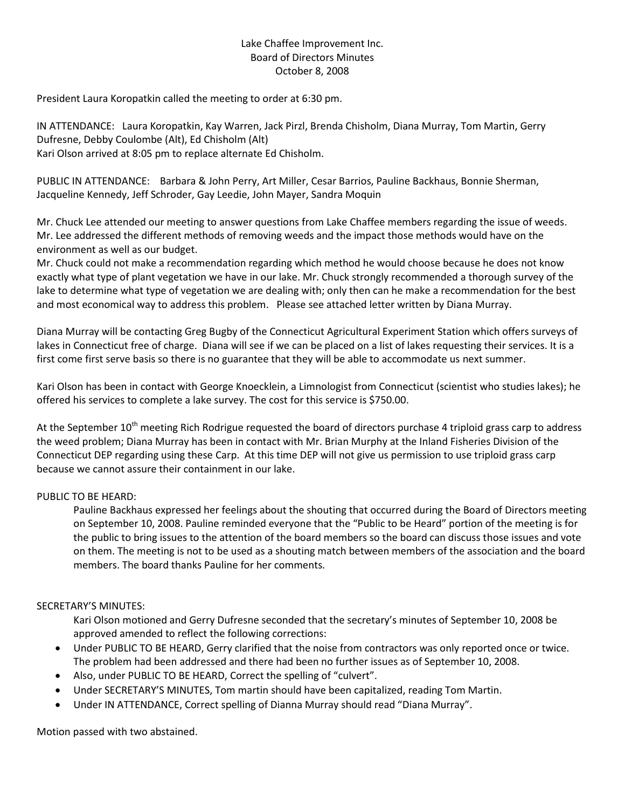## Lake Chaffee Improvement Inc. Board of Directors Minutes October 8, 2008

President Laura Koropatkin called the meeting to order at 6:30 pm.

IN ATTENDANCE: Laura Koropatkin, Kay Warren, Jack Pirzl, Brenda Chisholm, Diana Murray, Tom Martin, Gerry Dufresne, Debby Coulombe (Alt), Ed Chisholm (Alt) Kari Olson arrived at 8:05 pm to replace alternate Ed Chisholm.

PUBLIC IN ATTENDANCE: Barbara & John Perry, Art Miller, Cesar Barrios, Pauline Backhaus, Bonnie Sherman, Jacqueline Kennedy, Jeff Schroder, Gay Leedie, John Mayer, Sandra Moquin

Mr. Chuck Lee attended our meeting to answer questions from Lake Chaffee members regarding the issue of weeds. Mr. Lee addressed the different methods of removing weeds and the impact those methods would have on the environment as well as our budget.

Mr. Chuck could not make a recommendation regarding which method he would choose because he does not know exactly what type of plant vegetation we have in our lake. Mr. Chuck strongly recommended a thorough survey of the lake to determine what type of vegetation we are dealing with; only then can he make a recommendation for the best and most economical way to address this problem. Please see attached letter written by Diana Murray.

Diana Murray will be contacting Greg Bugby of the Connecticut Agricultural Experiment Station which offers surveys of lakes in Connecticut free of charge. Diana will see if we can be placed on a list of lakes requesting their services. It is a first come first serve basis so there is no guarantee that they will be able to accommodate us next summer.

Kari Olson has been in contact with George Knoecklein, a Limnologist from Connecticut (scientist who studies lakes); he offered his services to complete a lake survey. The cost for this service is \$750.00.

At the September  $10^{th}$  meeting Rich Rodrigue requested the board of directors purchase 4 triploid grass carp to address the weed problem; Diana Murray has been in contact with Mr. Brian Murphy at the Inland Fisheries Division of the Connecticut DEP regarding using these Carp. At this time DEP will not give us permission to use triploid grass carp because we cannot assure their containment in our lake.

## PUBLIC TO BE HEARD:

Pauline Backhaus expressed her feelings about the shouting that occurred during the Board of Directors meeting on September 10, 2008. Pauline reminded everyone that the "Public to be Heard" portion of the meeting is for the public to bring issues to the attention of the board members so the board can discuss those issues and vote on them. The meeting is not to be used as a shouting match between members of the association and the board members. The board thanks Pauline for her comments.

## SECRETARY'S MINUTES:

Kari Olson motioned and Gerry Dufresne seconded that the secretary's minutes of September 10, 2008 be approved amended to reflect the following corrections:

- Under PUBLIC TO BE HEARD, Gerry clarified that the noise from contractors was only reported once or twice. The problem had been addressed and there had been no further issues as of September 10, 2008.
- Also, under PUBLIC TO BE HEARD, Correct the spelling of "culvert".
- Under SECRETARY'S MINUTES, Tom martin should have been capitalized, reading Tom Martin.
- Under IN ATTENDANCE, Correct spelling of Dianna Murray should read "Diana Murray".

Motion passed with two abstained.